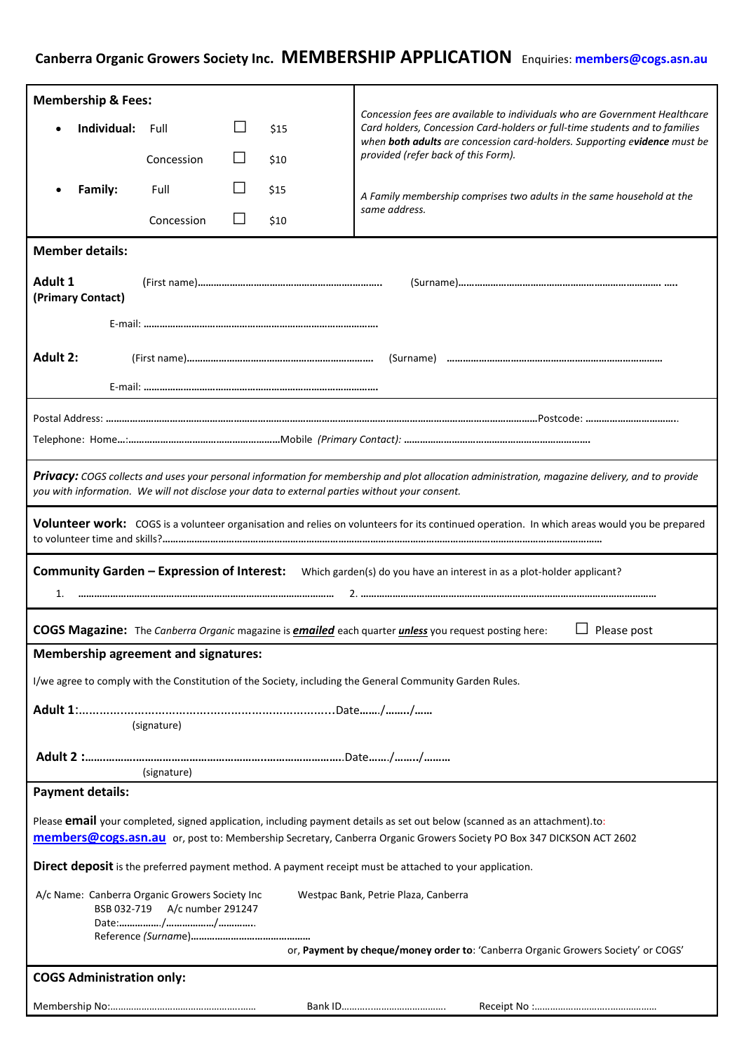## **Canberra Organic Growers Society Inc. MEMBERSHIP APPLICATION** Enquiries: **members@cogs.asn.au**

| <b>Membership &amp; Fees:</b>                                                                                                                                                                                                                            |            |    |      |                                                                                                                                                           |  |
|----------------------------------------------------------------------------------------------------------------------------------------------------------------------------------------------------------------------------------------------------------|------------|----|------|-----------------------------------------------------------------------------------------------------------------------------------------------------------|--|
| Individual:                                                                                                                                                                                                                                              | Full       |    | \$15 | Concession fees are available to individuals who are Government Healthcare<br>Card holders, Concession Card-holders or full-time students and to families |  |
|                                                                                                                                                                                                                                                          | Concession |    | \$10 | when both adults are concession card-holders. Supporting evidence must be<br>provided (refer back of this Form).                                          |  |
| Family:                                                                                                                                                                                                                                                  | Full       | ΙI | \$15 |                                                                                                                                                           |  |
|                                                                                                                                                                                                                                                          |            |    |      | A Family membership comprises two adults in the same household at the<br>same address.                                                                    |  |
|                                                                                                                                                                                                                                                          | Concession | ΙI | \$10 |                                                                                                                                                           |  |
| <b>Member details:</b>                                                                                                                                                                                                                                   |            |    |      |                                                                                                                                                           |  |
| <b>Adult 1</b><br>(Primary Contact)                                                                                                                                                                                                                      |            |    |      |                                                                                                                                                           |  |
|                                                                                                                                                                                                                                                          |            |    |      |                                                                                                                                                           |  |
| Adult 2:                                                                                                                                                                                                                                                 |            |    |      |                                                                                                                                                           |  |
|                                                                                                                                                                                                                                                          |            |    |      |                                                                                                                                                           |  |
|                                                                                                                                                                                                                                                          |            |    |      |                                                                                                                                                           |  |
|                                                                                                                                                                                                                                                          |            |    |      |                                                                                                                                                           |  |
| Privacy: COGS collects and uses your personal information for membership and plot allocation administration, magazine delivery, and to provide<br>you with information. We will not disclose your data to external parties without your consent.         |            |    |      |                                                                                                                                                           |  |
| Volunteer work: COGS is a volunteer organisation and relies on volunteers for its continued operation. In which areas would you be prepared                                                                                                              |            |    |      |                                                                                                                                                           |  |
| Community Garden - Expression of Interest: Which garden(s) do you have an interest in as a plot-holder applicant?<br>1.                                                                                                                                  |            |    |      |                                                                                                                                                           |  |
| COGS Magazine: The Canberra Organic magazine is <b>emailed</b> each quarter <i>unless</i> you request posting here:<br>Please post                                                                                                                       |            |    |      |                                                                                                                                                           |  |
| <b>Membership agreement and signatures:</b>                                                                                                                                                                                                              |            |    |      |                                                                                                                                                           |  |
| I/we agree to comply with the Constitution of the Society, including the General Community Garden Rules.                                                                                                                                                 |            |    |      |                                                                                                                                                           |  |
| (signature)                                                                                                                                                                                                                                              |            |    |      |                                                                                                                                                           |  |
|                                                                                                                                                                                                                                                          |            |    |      |                                                                                                                                                           |  |
| (signature)                                                                                                                                                                                                                                              |            |    |      |                                                                                                                                                           |  |
| <b>Payment details:</b>                                                                                                                                                                                                                                  |            |    |      |                                                                                                                                                           |  |
| Please <b>email</b> your completed, signed application, including payment details as set out below (scanned as an attachment).to:<br>members@cogs.asn.au or, post to: Membership Secretary, Canberra Organic Growers Society PO Box 347 DICKSON ACT 2602 |            |    |      |                                                                                                                                                           |  |
| Direct deposit is the preferred payment method. A payment receipt must be attached to your application.                                                                                                                                                  |            |    |      |                                                                                                                                                           |  |
| A/c Name: Canberra Organic Growers Society Inc<br>Westpac Bank, Petrie Plaza, Canberra<br>BSB 032-719 A/c number 291247                                                                                                                                  |            |    |      |                                                                                                                                                           |  |
| or, Payment by cheque/money order to: 'Canberra Organic Growers Society' or COGS'                                                                                                                                                                        |            |    |      |                                                                                                                                                           |  |
| <b>COGS Administration only:</b>                                                                                                                                                                                                                         |            |    |      |                                                                                                                                                           |  |
|                                                                                                                                                                                                                                                          |            |    |      |                                                                                                                                                           |  |